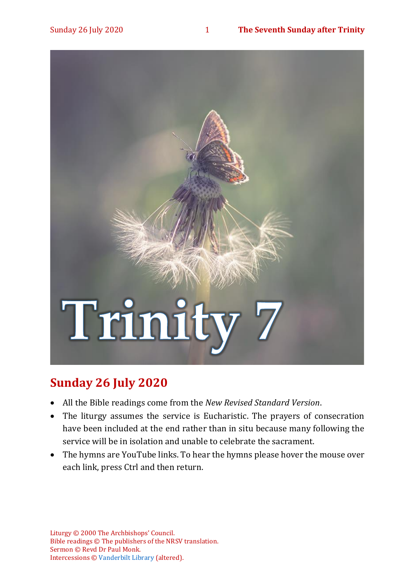#### Sunday 26 July 2020 1 **The Seventh Sunday after Trinity**



## **Sunday 26 July 2020**

- All the Bible readings come from the *New Revised Standard Version*.
- The liturgy assumes the service is Eucharistic. The prayers of consecration have been included at the end rather than in situ because many following the service will be in isolation and unable to celebrate the sacrament.
- The hymns are YouTube links. To hear the hymns please hover the mouse over each link, press Ctrl and then return.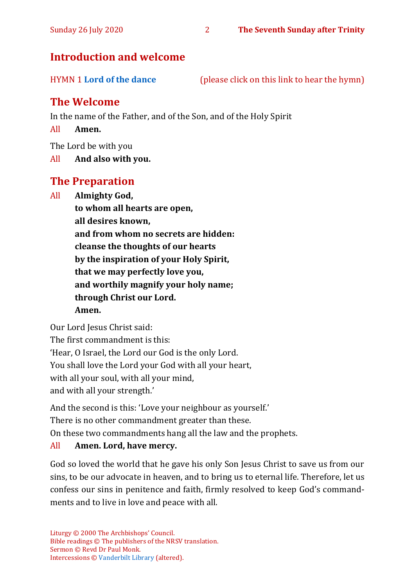## **Introduction and welcome**

HYMN 1 **[Lord of the dance](https://www.youtube.com/watch?v=n1yzqsWxcBY)** (please click on this link to hear the hymn)

## **The Welcome**

In the name of the Father, and of the Son, and of the Holy Spirit

All **Amen.**

The Lord be with you

All **And also with you.**

## **The Preparation**

All **Almighty God,**

**to whom all hearts are open, all desires known, and from whom no secrets are hidden: cleanse the thoughts of our hearts by the inspiration of your Holy Spirit, that we may perfectly love you, and worthily magnify your holy name; through Christ our Lord. Amen.**

Our Lord Jesus Christ said:

The first commandment is this: 'Hear, O Israel, the Lord our God is the only Lord. You shall love the Lord your God with all your heart, with all your soul, with all your mind, and with all your strength.'

And the second is this: 'Love your neighbour as yourself.'

There is no other commandment greater than these.

On these two commandments hang all the law and the prophets.

## All **Amen. Lord, have mercy.**

God so loved the world that he gave his only Son Jesus Christ to save us from our sins, to be our advocate in heaven, and to bring us to eternal life. Therefore, let us confess our sins in penitence and faith, firmly resolved to keep God's commandments and to live in love and peace with all.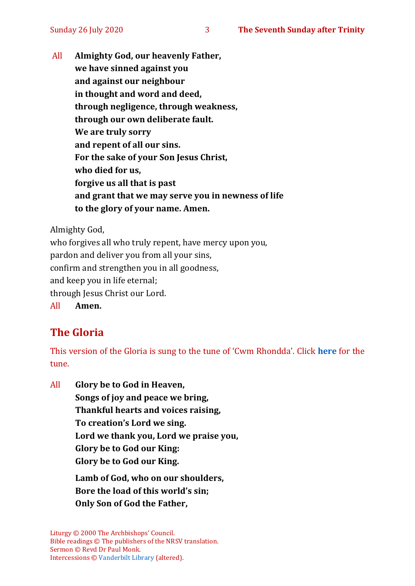All **Almighty God, our heavenly Father, we have sinned against you and against our neighbour in thought and word and deed, through negligence, through weakness, through our own deliberate fault. We are truly sorry and repent of all our sins. For the sake of your Son Jesus Christ, who died for us, forgive us all that is past and grant that we may serve you in newness of life to the glory of your name. Amen.**

Almighty God,

who forgives all who truly repent, have mercy upon you, pardon and deliver you from all your sins, confirm and strengthen you in all goodness, and keep you in life eternal; through Jesus Christ our Lord. All **Amen.**

## **The Gloria**

This version of the Gloria is sung to the tune of 'Cwm Rhondda'. Click **[here](about:blank)** for the tune.

All **Glory be to God in Heaven, Songs of joy and peace we bring, Thankful hearts and voices raising, To creation's Lord we sing. Lord we thank you, Lord we praise you, Glory be to God our King: Glory be to God our King. Lamb of God, who on our shoulders, Bore the load of this world's sin; Only Son of God the Father,**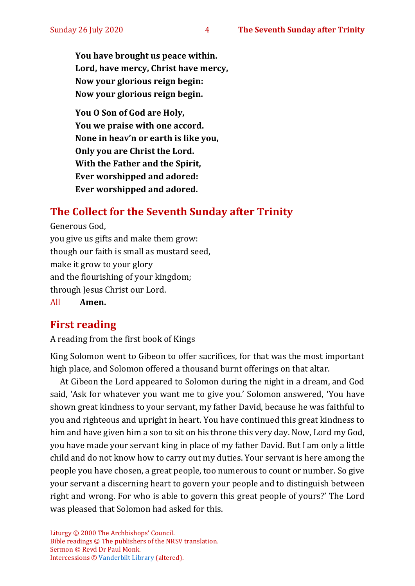**You have brought us peace within. Lord, have mercy, Christ have mercy, Now your glorious reign begin: Now your glorious reign begin.**

**You O Son of God are Holy, You we praise with one accord. None in heav'n or earth is like you, Only you are Christ the Lord. With the Father and the Spirit, Ever worshipped and adored: Ever worshipped and adored.**

## **The Collect for the Seventh Sunday after Trinity**

Generous God, you give us gifts and make them grow: though our faith is small as mustard seed, make it grow to your glory and the flourishing of your kingdom; through Jesus Christ our Lord. All **Amen.**

## **First reading**

A reading from the first book of Kings

King Solomon went to Gibeon to offer sacrifices, for that was the most important high place, and Solomon offered a thousand burnt offerings on that altar.

At Gibeon the Lord appeared to Solomon during the night in a dream, and God said, 'Ask for whatever you want me to give you.' Solomon answered, 'You have shown great kindness to your servant, my father David, because he was faithful to you and righteous and upright in heart. You have continued this great kindness to him and have given him a son to sit on his throne this very day. Now, Lord my God, you have made your servant king in place of my father David. But I am only a little child and do not know how to carry out my duties. Your servant is here among the people you have chosen, a great people, too numerous to count or number. So give your servant a discerning heart to govern your people and to distinguish between right and wrong. For who is able to govern this great people of yours?' The Lord was pleased that Solomon had asked for this.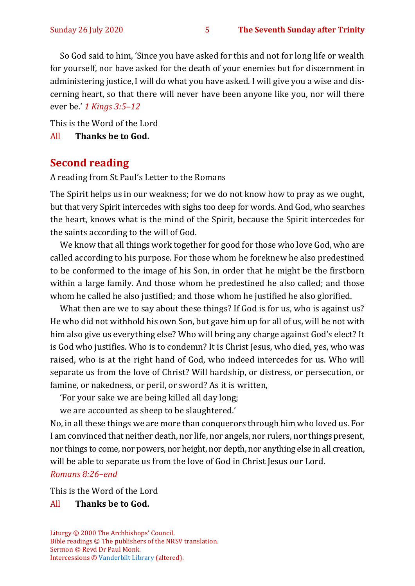So God said to him, 'Since you have asked for this and not for long life or wealth for yourself, nor have asked for the death of your enemies but for discernment in administering justice,I will do what you have asked. I will give you a wise and discerning heart, so that there will never have been anyone like you, nor will there ever be.' *1 Kings 3:5–12* 

This is the Word of the Lord

All **Thanks be to God.**

## **Second reading**

A reading from St Paul's Letter to the Romans

The Spirit helps us in our weakness; for we do not know how to pray as we ought, but that very Spirit intercedes with sighs too deep for words. And God, who searches the heart, knows what is the mind of the Spirit, because the Spirit intercedes for the saints according to the will of God.

We know that all things work together for good for those who love God, who are called according to his purpose. For those whom he foreknew he also predestined to be conformed to the image of his Son, in order that he might be the firstborn within a large family. And those whom he predestined he also called; and those whom he called he also justified; and those whom he justified he also glorified.

What then are we to say about these things? If God is for us, who is against us? He who did not withhold his own Son, but gave him up for all of us, will he not with him also give us everything else? Who will bring any charge against God's elect? It is God who justifies. Who is to condemn? It is Christ Jesus, who died, yes, who was raised, who is at the right hand of God, who indeed intercedes for us. Who will separate us from the love of Christ? Will hardship, or distress, or persecution, or famine, or nakedness, or peril, or sword? As it is written,

'For your sake we are being killed all day long;

we are accounted as sheep to be slaughtered.'

No, in all these things we are more than conquerors through him who loved us. For I am convinced that neither death, nor life, nor angels, nor rulers, nor things present, nor things to come, nor powers, nor height, nor depth, nor anything else in all creation, will be able to separate us from the love of God in Christ Jesus our Lord.

#### *Romans 8:26–end*

This is the Word of the Lord

#### All **Thanks be to God.**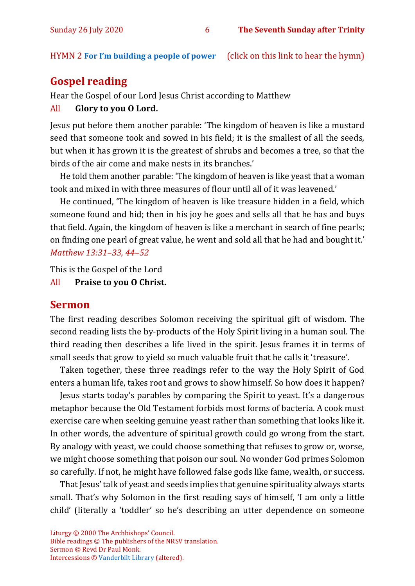#### HYMN 2 **[For I'm building a people of power](https://www.youtube.com/watch?v=fAVdz4a7s6s)** (click on this link to hear the hymn)

## **Gospel reading**

Hear the Gospel of our Lord Jesus Christ according to Matthew

#### All **Glory to you O Lord.**

Jesus put before them another parable: 'The kingdom of heaven is like a mustard seed that someone took and sowed in his field; it is the smallest of all the seeds, but when it has grown it is the greatest of shrubs and becomes a tree, so that the birds of the air come and make nests in its branches.'

He told them another parable: 'The kingdom of heaven is like yeast that a woman took and mixed in with three measures of flour until all of it was leavened.'

He continued, 'The kingdom of heaven is like treasure hidden in a field, which someone found and hid; then in his joy he goes and sells all that he has and buys that field. Again, the kingdom of heaven is like a merchant in search of fine pearls; on finding one pearl of great value, he went and sold all that he had and bought it.' *Matthew 13:31–33, 44–52*

This is the Gospel of the Lord

All **Praise to you O Christ.** 

#### **Sermon**

The first reading describes Solomon receiving the spiritual gift of wisdom. The second reading lists the by-products of the Holy Spirit living in a human soul. The third reading then describes a life lived in the spirit. Jesus frames it in terms of small seeds that grow to yield so much valuable fruit that he calls it 'treasure'.

Taken together, these three readings refer to the way the Holy Spirit of God enters a human life, takes root and grows to show himself. So how does it happen?

Jesus starts today's parables by comparing the Spirit to yeast. It's a dangerous metaphor because the Old Testament forbids most forms of bacteria. A cook must exercise care when seeking genuine yeast rather than something that looks like it. In other words, the adventure of spiritual growth could go wrong from the start. By analogy with yeast, we could choose something that refuses to grow or, worse, we might choose something that poison our soul. No wonder God primes Solomon so carefully. If not, he might have followed false gods like fame, wealth, or success.

That Jesus' talk of yeast and seeds implies that genuine spirituality always starts small. That's why Solomon in the first reading says of himself, 'I am only a little child' (literally a 'toddler' so he's describing an utter dependence on someone

Liturgy © 2000 The Archbishops' Council.

Sermon © Revd Dr Paul Monk.

Bible readings © The publishers of the NRSV translation.

Intercessions © [Vanderbilt Library](https://lectionary.library.vanderbilt.edu/prayers.php?id=152) (altered).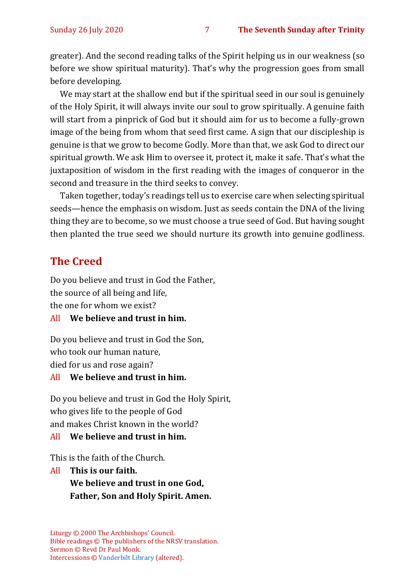greater). And the second reading talks of the Spirit helping us in our weakness (so before we show spiritual maturity). That's why the progression goes from small before developing.

We may start at the shallow end but if the spiritual seed in our soul is genuinely of the Holy Spirit, it will always invite our soul to grow spiritually. A genuine faith will start from a pinprick of God but it should aim for us to become a fully-grown image of the being from whom that seed first came. A sign that our discipleship is genuine is that we grow to become Godly. More than that, we ask God to direct our spiritual growth. We ask Him to oversee it, protect it, make it safe. That's what the juxtaposition of wisdom in the first reading with the images of conqueror in the second and treasure in the third seeks to convey.

Taken together, today's readings tell us to exercise care when selecting spiritual seeds—hence the emphasis on wisdom. Just as seeds contain the DNA of the living thing they are to become, so we must choose a true seed of God. But having sought then planted the true seed we should nurture its growth into genuine godliness.

## **The Creed**

Do you believe and trust in God the Father, the source of all being and life, the one for whom we exist?

#### All **We believe and trust in him.**

Do you believe and trust in God the Son, who took our human nature, died for us and rose again?

#### All **We believe and trust in him.**

Do you believe and trust in God the Holy Spirit, who gives life to the people of God and makes Christ known in the world?

#### All **We believe and trust in him.**

This is the faith of the Church.

All **This is our faith. We believe and trust in one God, Father, Son and Holy Spirit. Amen.**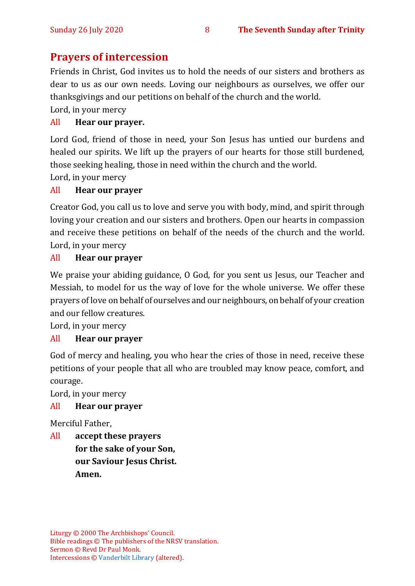## **Prayers of intercession**

Friends in Christ, God invites us to hold the needs of our sisters and brothers as dear to us as our own needs. Loving our neighbours as ourselves, we offer our thanksgivings and our petitions on behalf of the church and the world.

Lord, in your mercy

#### All **Hear our prayer.**

Lord God, friend of those in need, your Son Jesus has untied our burdens and healed our spirits. We lift up the prayers of our hearts for those still burdened, those seeking healing, those in need within the church and the world.

Lord, in your mercy

#### All **Hear our prayer**

Creator God, you call us to love and serve you with body, mind, and spirit through loving your creation and our sisters and brothers. Open our hearts in compassion and receive these petitions on behalf of the needs of the church and the world. Lord, in your mercy

#### All **Hear our prayer**

We praise your abiding guidance, O God, for you sent us Jesus, our Teacher and Messiah, to model for us the way of love for the whole universe. We offer these prayers of love on behalf of ourselves and our neighbours, on behalf of your creation and our fellow creatures.

Lord, in your mercy

#### All **Hear our prayer**

God of mercy and healing, you who hear the cries of those in need, receive these petitions of your people that all who are troubled may know peace, comfort, and courage.

Lord, in your mercy

#### All **Hear our prayer**

Merciful Father,

All **accept these prayers for the sake of your Son, our Saviour Jesus Christ. Amen.**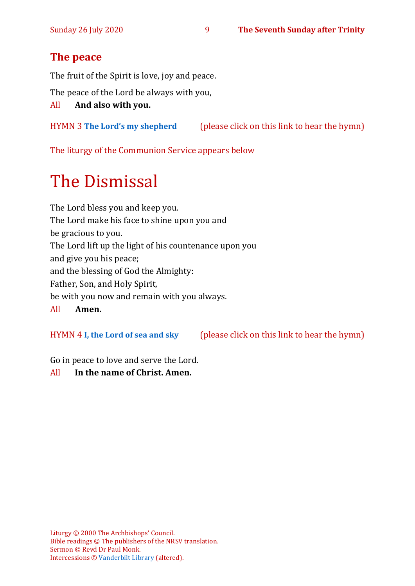## **The peace**

The fruit of the Spirit is love, joy and peace.

The peace of the Lord be always with you,

All **And also with you.**

HYMN 3 **[The Lord's my shepherd](https://www.youtube.com/watch?v=IDAIwMvFcXQ)** (please click on this link to hear the hymn)

The liturgy of the Communion Service appears below

# The Dismissal

The Lord bless you and keep you. The Lord make his face to shine upon you and be gracious to you. The Lord lift up the light of his countenance upon you and give you his peace; and the blessing of God the Almighty: Father, Son, and Holy Spirit, be with you now and remain with you always. All **Amen.**

HYMN 4 **I, [the Lord of sea and sky](https://youtu.be/EcxOkht8w7c)** (please click on this link to hear the hymn)

Go in peace to love and serve the Lord.

All **In the name of Christ. Amen.**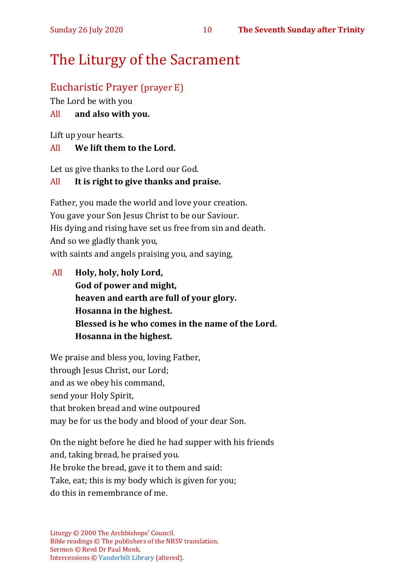## The Liturgy of the Sacrament

## Eucharistic Prayer (prayer E)

The Lord be with you

## All **and also with you.**

Lift up your hearts.

#### All **We lift them to the Lord.**

Let us give thanks to the Lord our God.

## All **It is right to give thanks and praise.**

Father, you made the world and love your creation. You gave your Son Jesus Christ to be our Saviour. His dying and rising have set us free from sin and death. And so we gladly thank you, with saints and angels praising you, and saying,

All **Holy, holy, holy Lord, God of power and might, heaven and earth are full of your glory. Hosanna in the highest. Blessed is he who comes in the name of the Lord. Hosanna in the highest.**

We praise and bless you, loving Father, through Jesus Christ, our Lord; and as we obey his command, send your Holy Spirit, that broken bread and wine outpoured may be for us the body and blood of your dear Son.

On the night before he died he had supper with his friends and, taking bread, he praised you. He broke the bread, gave it to them and said: Take, eat; this is my body which is given for you; do this in remembrance of me.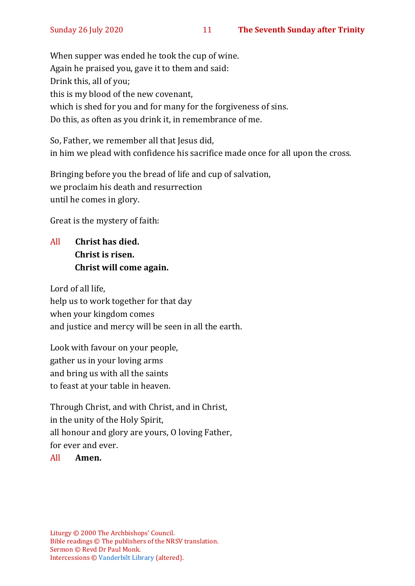When supper was ended he took the cup of wine. Again he praised you, gave it to them and said: Drink this, all of you; this is my blood of the new covenant, which is shed for you and for many for the forgiveness of sins. Do this, as often as you drink it, in remembrance of me.

So, Father, we remember all that Jesus did, in him we plead with confidence his sacrifice made once for all upon the cross.

Bringing before you the bread of life and cup of salvation, we proclaim his death and resurrection until he comes in glory.

Great is the mystery of faith:

All **Christ has died. Christ is risen. Christ will come again.**

Lord of all life, help us to work together for that day when your kingdom comes and justice and mercy will be seen in all the earth.

Look with favour on your people, gather us in your loving arms and bring us with all the saints to feast at your table in heaven.

Through Christ, and with Christ, and in Christ, in the unity of the Holy Spirit, all honour and glory are yours, O loving Father, for ever and ever.

#### All **Amen.**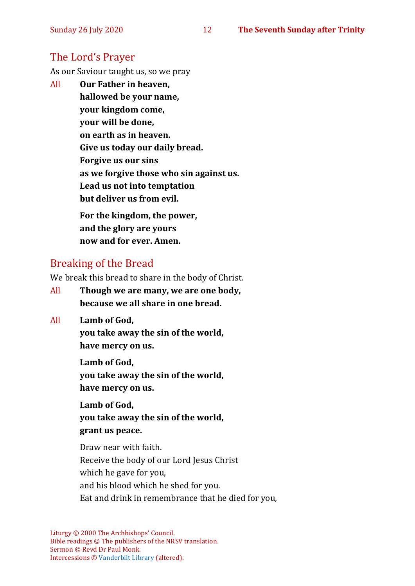## The Lord's Prayer

As our Saviour taught us, so we pray

All **Our Father in heaven, hallowed be your name, your kingdom come, your will be done, on earth as in heaven. Give us today our daily bread. Forgive us our sins as we forgive those who sin against us. Lead us not into temptation but deliver us from evil. For the kingdom, the power,** 

**and the glory are yours now and for ever. Amen.**

## Breaking of the Bread

We break this bread to share in the body of Christ.

- All **Though we are many, we are one body, because we all share in one bread.**
- All **Lamb of God,**

**you take away the sin of the world, have mercy on us.**

**Lamb of God, you take away the sin of the world, have mercy on us.**

**Lamb of God, you take away the sin of the world, grant us peace.**

Draw near with faith. Receive the body of our Lord Jesus Christ which he gave for you, and his blood which he shed for you. Eat and drink in remembrance that he died for you,